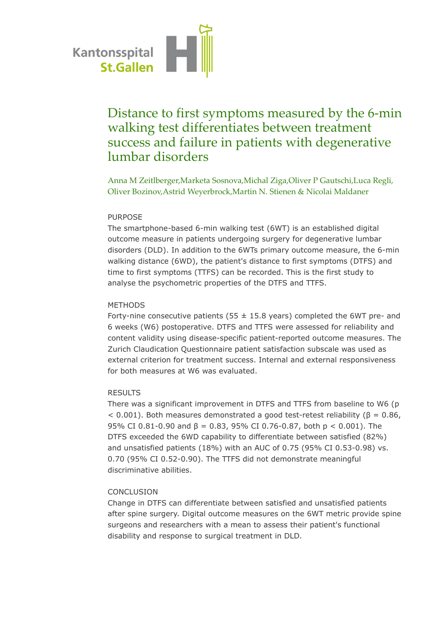

# Distance to first symptoms measured by the 6-min walking test differentiates between treatment success and failure in patients with degenerative lumbar disorders

Anna M Zeitlberger,Marketa Sosnova,Michal Ziga,Oliver P Gautschi,Luca Regli, Oliver Bozinov,Astrid Weyerbrock,Martin N. Stienen & Nicolai Maldaner

# PURPOSE

The smartphone-based 6-min walking test (6WT) is an established digital outcome measure in patients undergoing surgery for degenerative lumbar disorders (DLD). In addition to the 6WTs primary outcome measure, the 6-min walking distance (6WD), the patient's distance to first symptoms (DTFS) and time to first symptoms (TTFS) can be recorded. This is the first study to analyse the psychometric properties of the DTFS and TTFS.

#### **METHODS**

Forty-nine consecutive patients (55  $\pm$  15.8 years) completed the 6WT pre- and 6 weeks (W6) postoperative. DTFS and TTFS were assessed for reliability and content validity using disease-specific patient-reported outcome measures. The Zurich Claudication Questionnaire patient satisfaction subscale was used as external criterion for treatment success. Internal and external responsiveness for both measures at W6 was evaluated.

## RESULTS

There was a significant improvement in DTFS and TTFS from baseline to W6 (p  $<$  0.001). Both measures demonstrated a good test-retest reliability ( $\beta$  = 0.86, 95% CI 0.81-0.90 and  $β = 0.83$ , 95% CI 0.76-0.87, both  $p < 0.001$ ). The DTFS exceeded the 6WD capability to differentiate between satisfied (82%) and unsatisfied patients (18%) with an AUC of 0.75 (95% CI 0.53-0.98) vs. 0.70 (95% CI 0.52-0.90). The TTFS did not demonstrate meaningful discriminative abilities.

## CONCLUSION

Change in DTFS can differentiate between satisfied and unsatisfied patients after spine surgery. Digital outcome measures on the 6WT metric provide spine surgeons and researchers with a mean to assess their patient's functional disability and response to surgical treatment in DLD.